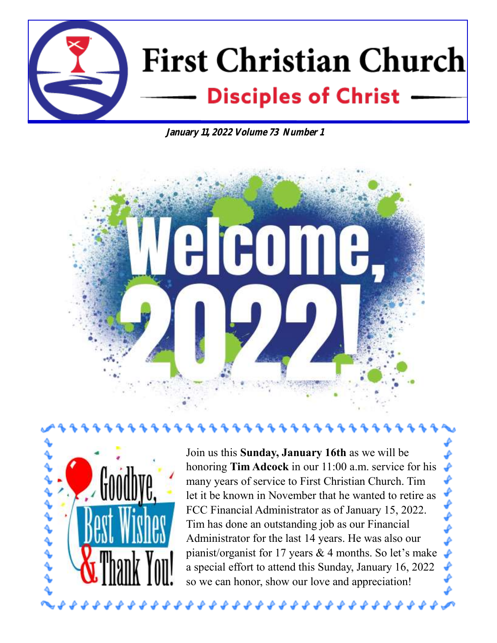

**January 11, 2022 Volume 73 Number 1**





Join us this **Sunday, January 16th** as we will be honoring **Tim Adcock** in our 11:00 a.m. service for his many years of service to First Christian Church. Tim let it be known in November that he wanted to retire as FCC Financial Administrator as of January 15, 2022. Tim has done an outstanding job as our Financial Administrator for the last 14 years. He was also our pianist/organist for 17 years & 4 months. So let's make a special effort to attend this Sunday, January 16, 2022 so we can honor, show our love and appreciation!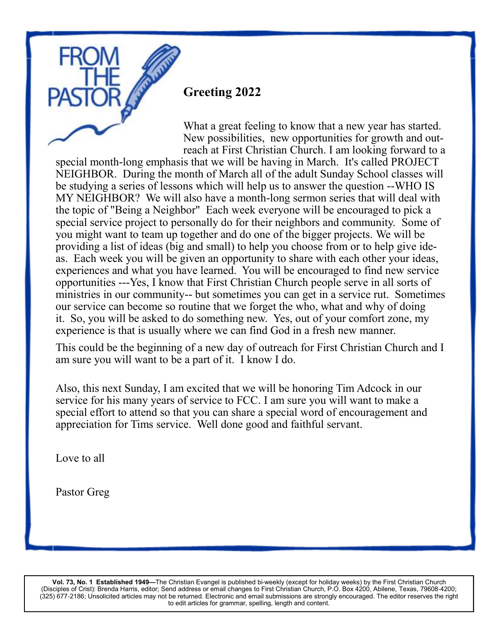#### **Greeting 2022**

What a great feeling to know that a new year has started. New possibilities, new opportunities for growth and outreach at First Christian Church. I am looking forward to a special month-long emphasis that we will be having in March. It's called PROJECT NEIGHBOR. During the month of March all of the adult Sunday School classes will be studying a series of lessons which will help us to answer the question --WHO IS MY NEIGHBOR? We will also have a month-long sermon series that will deal with the topic of "Being a Neighbor" Each week everyone will be encouraged to pick a special service project to personally do for their neighbors and community. Some of you might want to team up together and do one of the bigger projects. We will be providing a list of ideas (big and small) to help you choose from or to help give ideas. Each week you will be given an opportunity to share with each other your ideas, experiences and what you have learned. You will be encouraged to find new service opportunities ---Yes, I know that First Christian Church people serve in all sorts of ministries in our community-- but sometimes you can get in a service rut. Sometimes our service can become so routine that we forget the who, what and why of doing it. So, you will be asked to do something new. Yes, out of your comfort zone, my experience is that is usually where we can find God in a fresh new manner.

This could be the beginning of a new day of outreach for First Christian Church and I am sure you will want to be a part of it. I know I do.

Also, this next Sunday, I am excited that we will be honoring Tim Adcock in our service for his many years of service to FCC. I am sure you will want to make a special effort to attend so that you can share a special word of encouragement and appreciation for Tims service. Well done good and faithful servant.

Love to all

Pastor Greg

**Vol. 73, No. 1 Established 1949—**The Christian Evangel is published bi-weekly (except for holiday weeks) by the First Christian Church (Disciples of Crist): Brenda Harris, editor; Send address or email changes to First Christian Church, P.O. Box 4200, Abilene, Texas, 79608-4200; (325) 677-2186; Unsolicited articles may not be returned. Electronic and email submissions are strongly encouraged. The editor reserves the right to edit articles for grammar, spelling, length and content.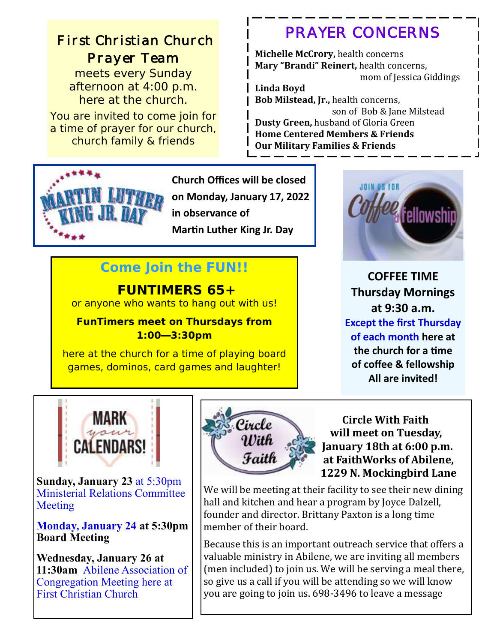# *PRAYER CONCERNS First Christian Church Prayer Team*

meets every Sunday afternoon at 4:00 p.m. here at the church.

You are invited to come join for a time of prayer for our church, church family & friends



**Church Offices will be closed on Monday, January 17, 2022 in observance of Martin Luther King Jr. Day**

### **Come Join the FUN!!**

**FUNTIMERS 65+**  or anyone who wants to hang out with us!

**FunTimers meet on Thursdays from 1:00—3:30pm** 

here at the church for a time of playing board games, dominos, card games and laughter!



son of Bob & Jane Milstead

mom of Jessica Giddings

**COFFEE TIME Thursday Mornings at 9:30 a.m. Except the first Thursday of each month here at the church for a time of coffee & fellowship All are invited!**



**Sunday, January 23** at 5:30pm Ministerial Relations Committee Meeting

**Monday, January 24 at 5:30pm Board Meeting**

**Wednesday, January 26 at 11:30am** Abilene Association of Congregation Meeting here at First Christian Church



 **Circle With Faith**  *With* **example 12 will meet on Tuesday,** *Guite* January 18th at 6:00 p.m.<br>**Faith** at FaithWorks of Abilene  **at FaithWorks of Abilene, 1229 N. Mockingbird Lane** 

We will be meeting at their facility to see their new dining hall and kitchen and hear a program by Joyce Dalzell, founder and director. Brittany Paxton is a long time member of their board.

 **Michelle McCrory,** health concerns

 **Bob Milstead, Jr.,** health concerns,

**Dusty Green, husband of Gloria Green Home Centered Members & Friends** 

**Linda Boyd**

 **Mary "Brandi" Reinert,** health concerns,

Because this is an important outreach service that offers a valuable ministry in Abilene, we are inviting all members (men included) to join us. We will be serving a meal there, so give us a call if you will be attending so we will know you are going to join us. 698-3496 to leave a message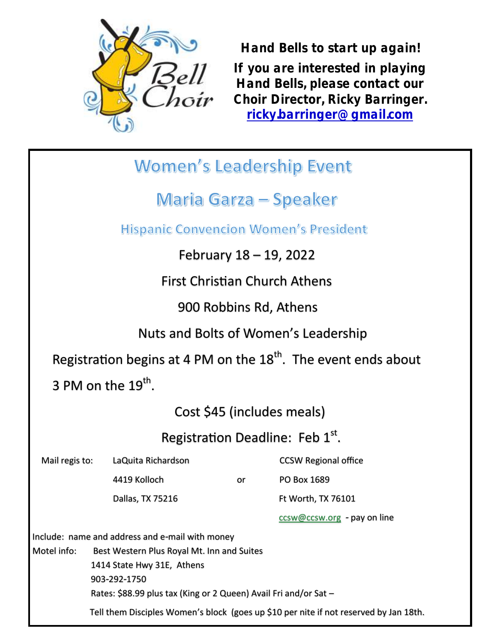

*Hand Bells to start up again! If you are interested in playing Hand Bells, please contact our Choir Director, Ricky Barringer. ricky.barringer@gmail.com* 

## **Women's Leadership Event**

# Maria Garza - Speaker

**Hispanic Convencion Women's President** 

## February 18 – 19, 2022

First Christian Church Athens

900 Robbins Rd, Athens

Nuts and Bolts of Women's Leadership

Registration begins at 4 PM on the  $18<sup>th</sup>$ . The event ends about

3 PM on the  $19^{th}$ .

Cost \$45 (includes meals)

## Registration Deadline: Feb 1st.

| Mail regis to:                                  |                                                                  | LaQuita Richardson |    | <b>CCSW Regional office</b> |
|-------------------------------------------------|------------------------------------------------------------------|--------------------|----|-----------------------------|
|                                                 |                                                                  | 4419 Kolloch       | or | PO Box 1689                 |
|                                                 |                                                                  | Dallas, TX 75216   |    | Ft Worth, TX 76101          |
|                                                 |                                                                  |                    |    | ccsw@ccsw.org - pay on line |
| Include: name and address and e-mail with money |                                                                  |                    |    |                             |
| Motel info:                                     | Best Western Plus Royal Mt. Inn and Suites                       |                    |    |                             |
|                                                 | 1414 State Hwy 31E, Athens                                       |                    |    |                             |
|                                                 |                                                                  | 903-292-1750       |    |                             |
|                                                 | Rates: \$88.99 plus tax (King or 2 Queen) Avail Fri and/or Sat - |                    |    |                             |

Tell them Disciples Women's block (goes up \$10 per nite if not reserved by Jan 18th.